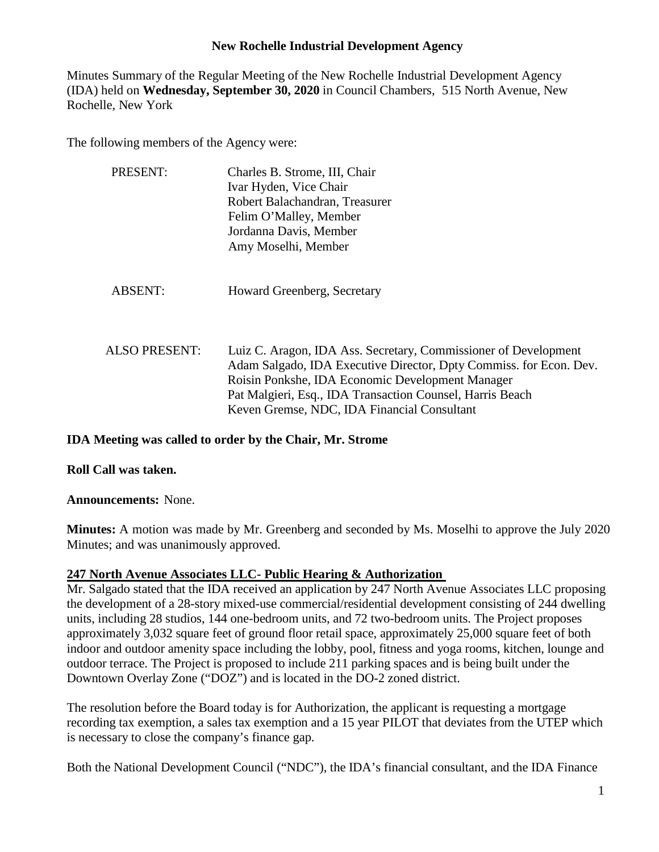Minutes Summary of the Regular Meeting of the New Rochelle Industrial Development Agency (IDA) held on **Wednesday, September 30, 2020** in Council Chambers, 515 North Avenue, New Rochelle, New York

The following members of the Agency were:

| PRESENT:             | Charles B. Strome, III, Chair<br>Ivar Hyden, Vice Chair<br>Robert Balachandran, Treasurer<br>Felim O'Malley, Member<br>Jordanna Davis, Member<br>Amy Moselhi, Member                                                                                                                                  |
|----------------------|-------------------------------------------------------------------------------------------------------------------------------------------------------------------------------------------------------------------------------------------------------------------------------------------------------|
| <b>ABSENT:</b>       | <b>Howard Greenberg, Secretary</b>                                                                                                                                                                                                                                                                    |
| <b>ALSO PRESENT:</b> | Luiz C. Aragon, IDA Ass. Secretary, Commissioner of Development<br>Adam Salgado, IDA Executive Director, Dpty Commiss. for Econ. Dev.<br>Roisin Ponkshe, IDA Economic Development Manager<br>Pat Malgieri, Esq., IDA Transaction Counsel, Harris Beach<br>Keven Gremse, NDC, IDA Financial Consultant |

#### **IDA Meeting was called to order by the Chair, Mr. Strome**

**Roll Call was taken.**

**Announcements:** None.

**Minutes:** A motion was made by Mr. Greenberg and seconded by Ms. Moselhi to approve the July 2020 Minutes; and was unanimously approved.

# **247 North Avenue Associates LLC- Public Hearing & Authorization**

Mr. Salgado stated that the IDA received an application by 247 North Avenue Associates LLC proposing the development of a 28-story mixed-use commercial/residential development consisting of 244 dwelling units, including 28 studios, 144 one-bedroom units, and 72 two-bedroom units. The Project proposes approximately 3,032 square feet of ground floor retail space, approximately 25,000 square feet of both indoor and outdoor amenity space including the lobby, pool, fitness and yoga rooms, kitchen, lounge and outdoor terrace. The Project is proposed to include 211 parking spaces and is being built under the Downtown Overlay Zone ("DOZ") and is located in the DO-2 zoned district.

The resolution before the Board today is for Authorization, the applicant is requesting a mortgage recording tax exemption, a sales tax exemption and a 15 year PILOT that deviates from the UTEP which is necessary to close the company's finance gap.

Both the National Development Council ("NDC"), the IDA's financial consultant, and the IDA Finance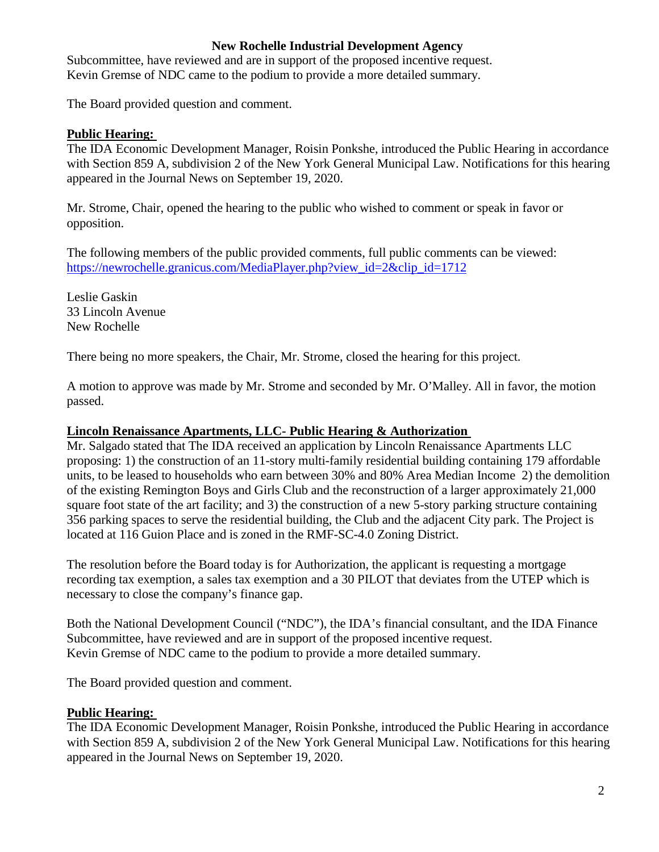Subcommittee, have reviewed and are in support of the proposed incentive request. Kevin Gremse of NDC came to the podium to provide a more detailed summary.

The Board provided question and comment.

#### **Public Hearing:**

The IDA Economic Development Manager, Roisin Ponkshe, introduced the Public Hearing in accordance with Section 859 A, subdivision 2 of the New York General Municipal Law. Notifications for this hearing appeared in the Journal News on September 19, 2020.

Mr. Strome, Chair, opened the hearing to the public who wished to comment or speak in favor or opposition.

The following members of the public provided comments, full public comments can be viewed: [https://newrochelle.granicus.com/MediaPlayer.php?view\\_id=2&clip\\_id=1712](https://newrochelle.granicus.com/MediaPlayer.php?view_id=2&clip_id=1712)

Leslie Gaskin 33 Lincoln Avenue New Rochelle

There being no more speakers, the Chair, Mr. Strome, closed the hearing for this project.

A motion to approve was made by Mr. Strome and seconded by Mr. O'Malley. All in favor, the motion passed.

### **Lincoln Renaissance Apartments, LLC- Public Hearing & Authorization**

Mr. Salgado stated that The IDA received an application by Lincoln Renaissance Apartments LLC proposing: 1) the construction of an 11-story multi-family residential building containing 179 affordable units, to be leased to households who earn between 30% and 80% Area Median Income 2) the demolition of the existing Remington Boys and Girls Club and the reconstruction of a larger approximately 21,000 square foot state of the art facility; and 3) the construction of a new 5-story parking structure containing 356 parking spaces to serve the residential building, the Club and the adjacent City park. The Project is located at 116 Guion Place and is zoned in the RMF-SC-4.0 Zoning District.

The resolution before the Board today is for Authorization, the applicant is requesting a mortgage recording tax exemption, a sales tax exemption and a 30 PILOT that deviates from the UTEP which is necessary to close the company's finance gap.

Both the National Development Council ("NDC"), the IDA's financial consultant, and the IDA Finance Subcommittee, have reviewed and are in support of the proposed incentive request. Kevin Gremse of NDC came to the podium to provide a more detailed summary.

The Board provided question and comment.

# **Public Hearing:**

The IDA Economic Development Manager, Roisin Ponkshe, introduced the Public Hearing in accordance with Section 859 A, subdivision 2 of the New York General Municipal Law. Notifications for this hearing appeared in the Journal News on September 19, 2020.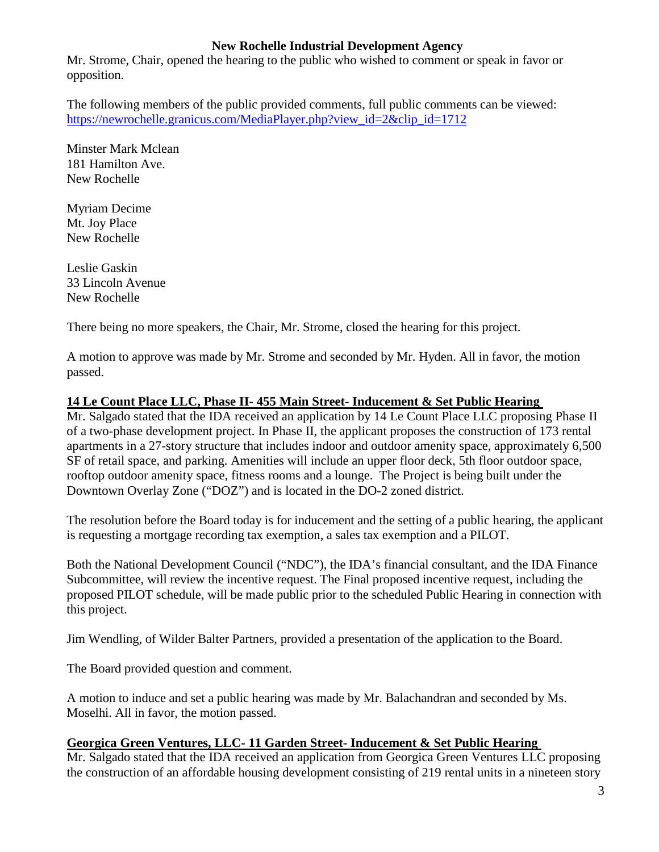Mr. Strome, Chair, opened the hearing to the public who wished to comment or speak in favor or opposition.

The following members of the public provided comments, full public comments can be viewed: [https://newrochelle.granicus.com/MediaPlayer.php?view\\_id=2&clip\\_id=1712](https://newrochelle.granicus.com/MediaPlayer.php?view_id=2&clip_id=1712)

Minster Mark Mclean 181 Hamilton Ave. New Rochelle

Myriam Decime Mt. Joy Place New Rochelle

Leslie Gaskin 33 Lincoln Avenue New Rochelle

There being no more speakers, the Chair, Mr. Strome, closed the hearing for this project.

A motion to approve was made by Mr. Strome and seconded by Mr. Hyden. All in favor, the motion passed.

# **14 Le Count Place LLC, Phase II- 455 Main Street- Inducement & Set Public Hearing**

Mr. Salgado stated that the IDA received an application by 14 Le Count Place LLC proposing Phase II of a two-phase development project. In Phase II, the applicant proposes the construction of 173 rental apartments in a 27-story structure that includes indoor and outdoor amenity space, approximately 6,500 SF of retail space, and parking. Amenities will include an upper floor deck, 5th floor outdoor space, rooftop outdoor amenity space, fitness rooms and a lounge. The Project is being built under the Downtown Overlay Zone ("DOZ") and is located in the DO-2 zoned district.

The resolution before the Board today is for inducement and the setting of a public hearing, the applicant is requesting a mortgage recording tax exemption, a sales tax exemption and a PILOT.

Both the National Development Council ("NDC"), the IDA's financial consultant, and the IDA Finance Subcommittee, will review the incentive request. The Final proposed incentive request, including the proposed PILOT schedule, will be made public prior to the scheduled Public Hearing in connection with this project.

Jim Wendling, of Wilder Balter Partners, provided a presentation of the application to the Board.

The Board provided question and comment.

A motion to induce and set a public hearing was made by Mr. Balachandran and seconded by Ms. Moselhi. All in favor, the motion passed.

# **Georgica Green Ventures, LLC- 11 Garden Street- Inducement & Set Public Hearing**

Mr. Salgado stated that the IDA received an application from Georgica Green Ventures LLC proposing the construction of an affordable housing development consisting of 219 rental units in a nineteen story